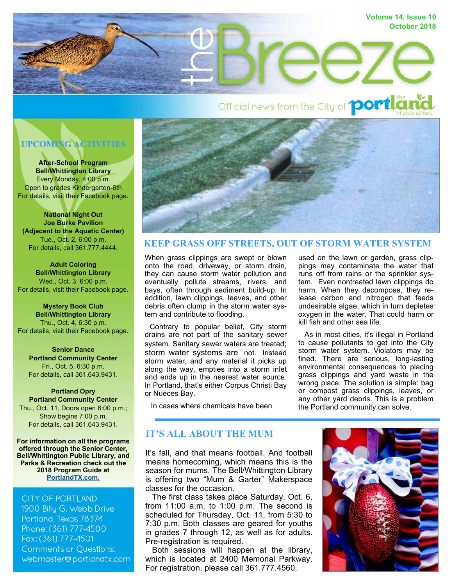

# Official news from the City of **portlan**

# **UPCOMING ACTIVITIES**

**After-School Program Bell/Whittington Library**  Every Monday, 4:00 p.m. Open to grades Kindergarten-6th For details, visit their Facebook page.

**National Night Out Joe Burke Pavilion (Adjacent to the Aquatic Center)**  Tue., Oct. 2, 6:00 p.m. For details, call 361.777.4444.

**Adult Coloring Bell/Whittington Library**  Wed., Oct. 3, 6:00 p.m. For details, visit their Facebook page.

**Mystery Book Club Bell/Whittington Library**  Thu., Oct. 4, 6:30 p.m. For details, visit their Facebook page.

**Senior Dance Portland Community Center**  Fri., Oct. 5, 6:30 p.m. For details, call 361.643.9431.

#### **Portland Opry Portland Community Center**  Thu., Oct. 11, Doors open 6:00 p.m.; Show begins 7:00 p.m. For details, call 361.643.9431.

**For information on all the programs offered through the Senior Center, Bell/Whittington Public Library, and Parks & Recreation check out the 2018 Program Guide at PortlandTX.com.**

# **CITY OF PORTLAND**

1900 Billy G. Webb Drive Portland, Texas 78374 Phone: (361) 777-4500 Fax: (361) 777-4501 **Comments or Questions:** webmaster@portlandtx.com



# **KEEP GRASS OFF STREETS, OUT OF STORM WATER SYSTEM**

When grass clippings are swept or blown onto the road, driveway, or storm drain, they can cause storm water pollution and eventually pollute streams, rivers, and bays, often through sediment build-up. In addition, lawn clippings, leaves, and other debris often clump in the storm water system and contribute to flooding.

 Contrary to popular belief, City storm drains are not part of the sanitary sewer system. Sanitary sewer waters are treated; storm water systems are not. Instead storm water, and any material it picks up along the way, empties into a storm inlet and ends up in the nearest water source. In Portland, that's either Corpus Christi Bay or Nueces Bay.

used on the lawn or garden, grass clippings may contaminate the water that runs off from rains or the sprinkler system. Even nontreated lawn clippings do harm. When they decompose, they release carbon and nitrogen that feeds undesirable algae, which in turn depletes oxygen in the water. That could harm or kill fish and other sea life.

 As in most cities, it's illegal in Portland to cause pollutants to get into the City storm water system. Violators may be fined. There are serious, long-lasting environmental consequences to placing grass clippings and yard waste in the wrong place. The solution is simple: bag or compost grass clippings, leaves, or any other yard debris. This is a problem the Portland community can solve.

# In cases where chemicals have been

# **IT'S ALL ABOUT THE MUM**

It's fall, and that means football. And football means homecoming, which means this is the season for mums. The Bell/Whittington Library is offering two "Mum & Garter" Makerspace classes for the occasion.

 The first class takes place Saturday, Oct. 6, from 11:00 a.m. to 1:00 p.m. The second is scheduled for Thursday, Oct. 11, from 5:30 to 7:30 p.m. Both classes are geared for youths in grades 7 through 12, as well as for adults. Pre-registration is required.

 Both sessions will happen at the library, which is located at 2400 Memorial Parkway. For registration, please call 361.777.4560.